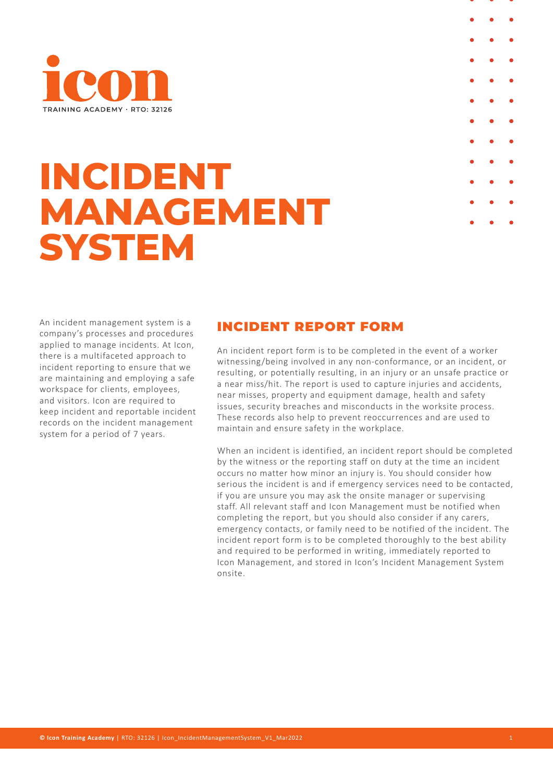

# **INCIDENT MANAGEMENT SYSTEM**

An incident management system is a company's processes and procedures applied to manage incidents. At Icon, there is a multifaceted approach to incident reporting to ensure that we are maintaining and employing a safe workspace for clients, employees, and visitors. Icon are required to keep incident and reportable incident records on the incident management system for a period of 7 years.

# INCIDENT REPORT FORM

An incident report form is to be completed in the event of a worker witnessing/being involved in any non-conformance, or an incident, or resulting, or potentially resulting, in an injury or an unsafe practice or a near miss/hit. The report is used to capture injuries and accidents, near misses, property and equipment damage, health and safety issues, security breaches and misconducts in the worksite process. These records also help to prevent reoccurrences and are used to maintain and ensure safety in the workplace.

When an incident is identified, an incident report should be completed by the witness or the reporting staff on duty at the time an incident occurs no matter how minor an injury is. You should consider how serious the incident is and if emergency services need to be contacted, if you are unsure you may ask the onsite manager or supervising staff. All relevant staff and Icon Management must be notified when completing the report, but you should also consider if any carers, emergency contacts, or family need to be notified of the incident. The incident report form is to be completed thoroughly to the best ability and required to be performed in writing, immediately reported to Icon Management, and stored in Icon's Incident Management System onsite.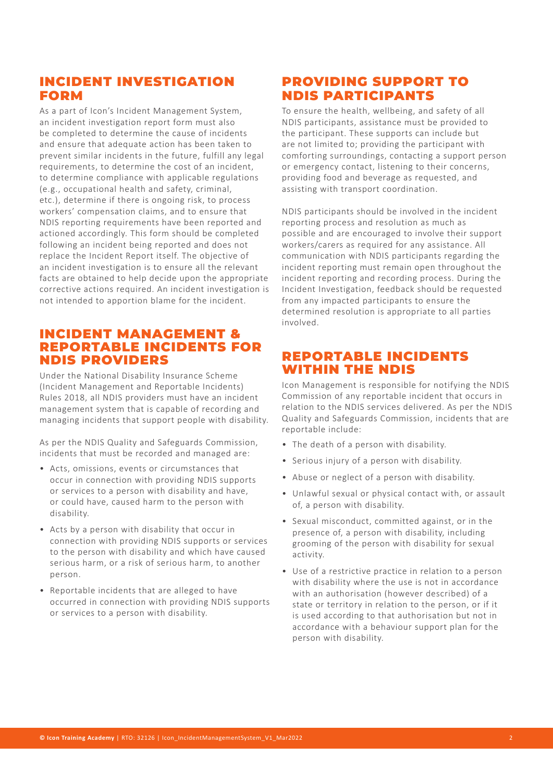### INCIDENT INVESTIGATION FORM

As a part of Icon's Incident Management System, an incident investigation report form must also be completed to determine the cause of incidents and ensure that adequate action has been taken to prevent similar incidents in the future, fulfill any legal requirements, to determine the cost of an incident, to determine compliance with applicable regulations (e.g., occupational health and safety, criminal, etc.), determine if there is ongoing risk, to process workers' compensation claims, and to ensure that NDIS reporting requirements have been reported and actioned accordingly. This form should be completed following an incident being reported and does not replace the Incident Report itself. The objective of an incident investigation is to ensure all the relevant facts are obtained to help decide upon the appropriate corrective actions required. An incident investigation is not intended to apportion blame for the incident.

#### INCIDENT MANAGEMENT & REPORTABLE INCIDENTS FOR NDIS PROVIDERS

Under the National Disability Insurance Scheme (Incident Management and Reportable Incidents) Rules 2018, all NDIS providers must have an incident management system that is capable of recording and managing incidents that support people with disability.

As per the NDIS Quality and Safeguards Commission, incidents that must be recorded and managed are:

- Acts, omissions, events or circumstances that occur in connection with providing NDIS supports or services to a person with disability and have, or could have, caused harm to the person with disability.
- Acts by a person with disability that occur in connection with providing NDIS supports or services to the person with disability and which have caused serious harm, or a risk of serious harm, to another person.
- Reportable incidents that are alleged to have occurred in connection with providing NDIS supports or services to a person with disability.

## PROVIDING SUPPORT TO NDIS PARTICIPANTS

To ensure the health, wellbeing, and safety of all NDIS participants, assistance must be provided to the participant. These supports can include but are not limited to; providing the participant with comforting surroundings, contacting a support person or emergency contact, listening to their concerns, providing food and beverage as requested, and assisting with transport coordination.

NDIS participants should be involved in the incident reporting process and resolution as much as possible and are encouraged to involve their support workers/carers as required for any assistance. All communication with NDIS participants regarding the incident reporting must remain open throughout the incident reporting and recording process. During the Incident Investigation, feedback should be requested from any impacted participants to ensure the determined resolution is appropriate to all parties involved.

#### REPORTABLE INCIDENTS WITHIN THE NDIS

Icon Management is responsible for notifying the NDIS Commission of any reportable incident that occurs in relation to the NDIS services delivered. As per the NDIS Quality and Safeguards Commission, incidents that are reportable include:

- The death of a person with disability.
- Serious injury of a person with disability.
- Abuse or neglect of a person with disability.
- Unlawful sexual or physical contact with, or assault of, a person with disability.
- Sexual misconduct, committed against, or in the presence of, a person with disability, including grooming of the person with disability for sexual activity.
- Use of a restrictive practice in relation to a person with disability where the use is not in accordance with an authorisation (however described) of a state or territory in relation to the person, or if it is used according to that authorisation but not in accordance with a behaviour support plan for the person with disability.